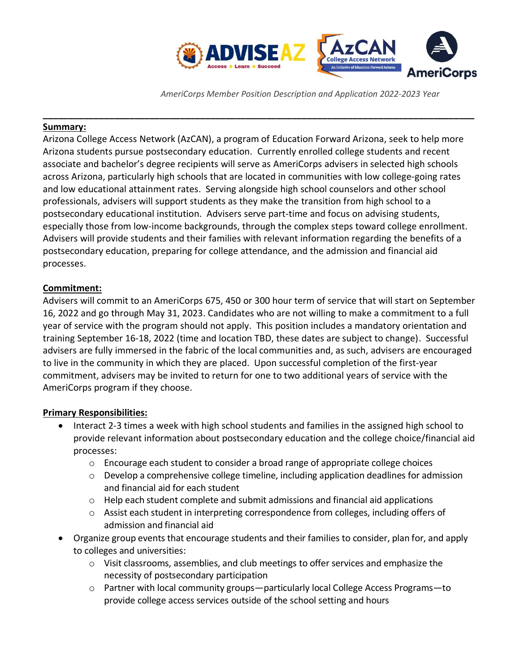

 *AmeriCorps Member Position Description and Application 2022-2023 Year*

### **Summary:**

Arizona College Access Network (AzCAN), a program of Education Forward Arizona, seek to help more Arizona students pursue postsecondary education. Currently enrolled college students and recent associate and bachelor's degree recipients will serve as AmeriCorps advisers in selected high schools across Arizona, particularly high schools that are located in communities with low college-going rates and low educational attainment rates. Serving alongside high school counselors and other school professionals, advisers will support students as they make the transition from high school to a postsecondary educational institution. Advisers serve part-time and focus on advising students, especially those from low-income backgrounds, through the complex steps toward college enrollment. Advisers will provide students and their families with relevant information regarding the benefits of a postsecondary education, preparing for college attendance, and the admission and financial aid processes.

**\_\_\_\_\_\_\_\_\_\_\_\_\_\_\_\_\_\_\_\_\_\_\_\_\_\_\_\_\_\_\_\_\_\_\_\_\_\_\_\_\_\_\_\_\_\_\_\_\_\_\_\_\_\_\_\_\_\_\_\_\_\_\_\_\_\_\_\_\_\_\_\_\_\_\_\_\_\_\_\_\_\_\_\_\_**

### **Commitment:**

Advisers will commit to an AmeriCorps 675, 450 or 300 hour term of service that will start on September 16, 2022 and go through May 31, 2023. Candidates who are not willing to make a commitment to a full year of service with the program should not apply. This position includes a mandatory orientation and training September 16-18, 2022 (time and location TBD, these dates are subject to change). Successful advisers are fully immersed in the fabric of the local communities and, as such, advisers are encouraged to live in the community in which they are placed. Upon successful completion of the first-year commitment, advisers may be invited to return for one to two additional years of service with the AmeriCorps program if they choose.

### **Primary Responsibilities:**

- Interact 2-3 times a week with high school students and families in the assigned high school to provide relevant information about postsecondary education and the college choice/financial aid processes:
	- $\circ$  Encourage each student to consider a broad range of appropriate college choices
	- o Develop a comprehensive college timeline, including application deadlines for admission and financial aid for each student
	- $\circ$  Help each student complete and submit admissions and financial aid applications
	- o Assist each student in interpreting correspondence from colleges, including offers of admission and financial aid
- Organize group events that encourage students and their families to consider, plan for, and apply to colleges and universities:
	- $\circ$  Visit classrooms, assemblies, and club meetings to offer services and emphasize the necessity of postsecondary participation
	- o Partner with local community groups—particularly local College Access Programs—to provide college access services outside of the school setting and hours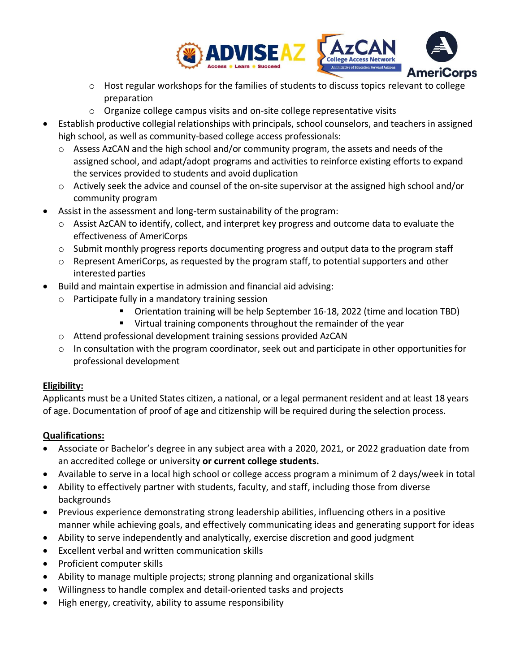

- o Host regular workshops for the families of students to discuss topics relevant to college preparation
- o Organize college campus visits and on-site college representative visits
- Establish productive collegial relationships with principals, school counselors, and teachers in assigned high school, as well as community-based college access professionals:
	- o Assess AzCAN and the high school and/or community program, the assets and needs of the assigned school, and adapt/adopt programs and activities to reinforce existing efforts to expand the services provided to students and avoid duplication
	- $\circ$  Actively seek the advice and counsel of the on-site supervisor at the assigned high school and/or community program
- Assist in the assessment and long-term sustainability of the program:
	- o Assist AzCAN to identify, collect, and interpret key progress and outcome data to evaluate the effectiveness of AmeriCorps
	- $\circ$  Submit monthly progress reports documenting progress and output data to the program staff
	- o Represent AmeriCorps, as requested by the program staff, to potential supporters and other interested parties
- Build and maintain expertise in admission and financial aid advising:
	- o Participate fully in a mandatory training session
		- Orientation training will be help September 16-18, 2022 (time and location TBD)
		- Virtual training components throughout the remainder of the year
	- o Attend professional development training sessions provided AzCAN
	- $\circ$  In consultation with the program coordinator, seek out and participate in other opportunities for professional development

## **Eligibility:**

Applicants must be a United States citizen, a national, or a legal permanent resident and at least 18 years of age. Documentation of proof of age and citizenship will be required during the selection process.

# **Qualifications:**

- Associate or Bachelor's degree in any subject area with a 2020, 2021, or 2022 graduation date from an accredited college or university **or current college students.**
- Available to serve in a local high school or college access program a minimum of 2 days/week in total
- Ability to effectively partner with students, faculty, and staff, including those from diverse backgrounds
- Previous experience demonstrating strong leadership abilities, influencing others in a positive manner while achieving goals, and effectively communicating ideas and generating support for ideas
- Ability to serve independently and analytically, exercise discretion and good judgment
- Excellent verbal and written communication skills
- Proficient computer skills
- Ability to manage multiple projects; strong planning and organizational skills
- Willingness to handle complex and detail-oriented tasks and projects
- High energy, creativity, ability to assume responsibility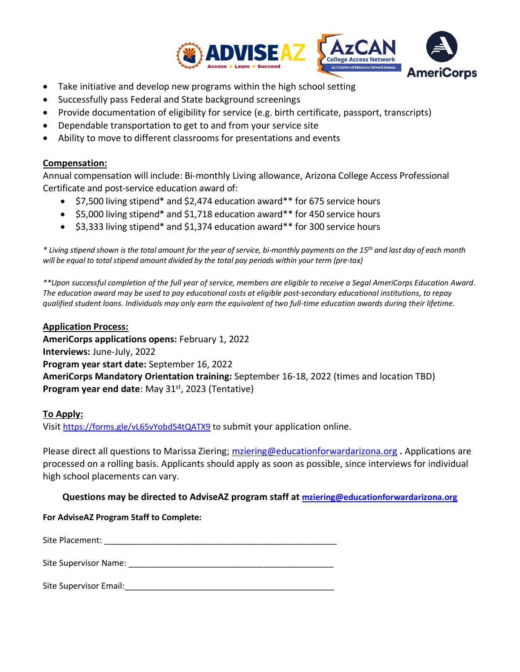

- Take initiative and develop new programs within the high school setting
- Successfully pass Federal and State background screenings
- Provide documentation of eligibility for service (e.g. birth certificate, passport, transcripts)
- Dependable transportation to get to and from your service site
- Ability to move to different classrooms for presentations and events

### **Compensation:**

Annual compensation will include: Bi-monthly Living allowance, Arizona College Access Professional Certificate and post-service education award of:

- \$7,500 living stipend\* and \$2,474 education award\*\* for 675 service hours
- \$5,000 living stipend\* and \$1,718 education award\*\* for 450 service hours
- \$3,333 living stipend\* and \$1,374 education award\*\* for 300 service hours

*\* Living stipend shown is the total amount for the year of service, bi-monthly payments on the 15th and last day of each month will be equal to total stipend amount divided by the total pay periods within your term (pre-tax)*

*\*\*Upon successful completion of the full year of service, members are eligible to receive a Segal AmeriCorps Education Award. The education award may be used to pay educational costs at eligible post-secondary educational institutions, to repay qualified student loans. Individuals may only earn the equivalent of two full-time education awards during their lifetime.*

**Application Process: AmeriCorps applications opens:** February 1, 2022 **Interviews:** June-July, 2022 **Program year start date:** September 16, 2022 **AmeriCorps Mandatory Orientation training:** September 16-18, 2022 (times and location TBD) **Program year end date:** May 31<sup>st</sup>, 2023 (Tentative)

### **To Apply:**

Visit <https://forms.gle/vL65vYobdS4tQATX9> to submit your application online.

Please direct all questions to Marissa Ziering[; mziering@educationforwardarizona.org](mailto:mziering@educationforwardarizona.org) **.** Applications are processed on a rolling basis. Applicants should apply as soon as possible, since interviews for individual high school placements can vary.

### **Questions may be directed to AdviseAZ program staff at [mziering@educationforwardarizona.org](mailto:mziering@educationforwardarizona.org)**

### **For AdviseAZ Program Staff to Complete:**

Site Placement: \_\_\_\_\_\_\_\_\_\_\_\_\_\_\_\_\_\_\_\_\_\_\_\_\_\_\_\_\_\_\_\_\_\_\_\_\_\_\_\_\_\_\_\_\_\_\_\_\_\_ Site Supervisor Name: \_\_\_\_\_\_\_\_\_\_\_\_\_\_\_\_\_\_\_\_\_\_\_\_\_\_\_\_\_\_\_\_\_\_\_\_\_\_\_\_\_\_\_\_

Site Supervisor Email:  $\Box$